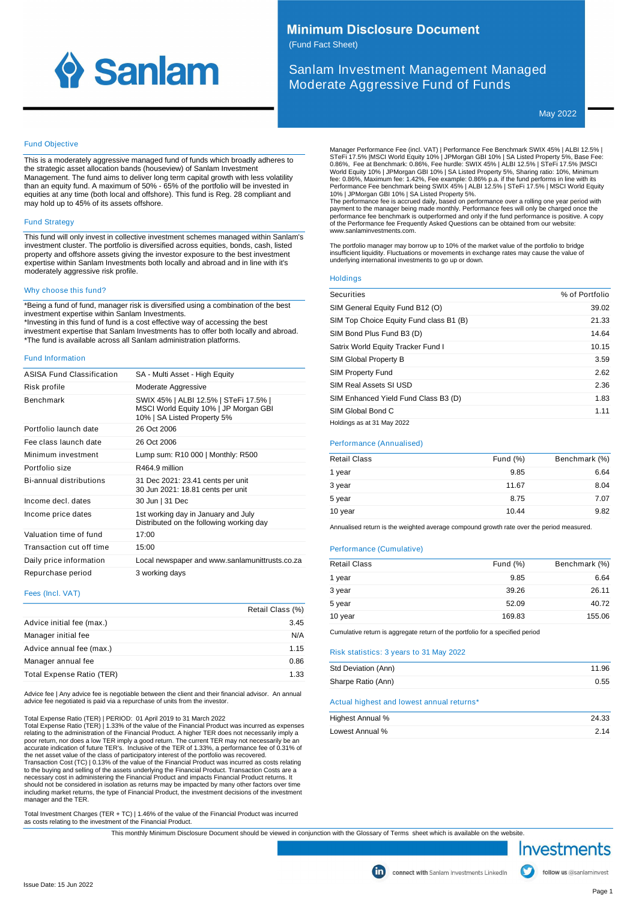

# **Minimum Disclosure Document** (Fund Fact Sheet)

Sanlam Investment Management Managed Moderate Aggressive Fund of Funds

May 2022

### Fund Objective

This is a moderately aggressive managed fund of funds which broadly adheres to the strategic asset allocation bands (houseview) of Sanlam Investment Management. The fund aims to deliver long term capital growth with less volatility than an equity fund. A maximum of 50% - 65% of the portfolio will be invested in equities at any time (both local and offshore). This fund is Reg. 28 compliant and may hold up to 45% of its assets offshore.

# Fund Strategy

This fund will only invest in collective investment schemes managed within Sanlam's investment cluster. The portfolio is diversified across equities, bonds, cash, listed property and offshore assets giving the investor exposure to the best investment expertise within Sanlam Investments both locally and abroad and in line with it's moderately aggressive risk profile.

#### Why choose this fund?

\*Being a fund of fund, manager risk is diversified using a combination of the best investment expertise within Sanlam Investments. \*Investing in this fund of fund is a cost effective way of accessing the best

investment expertise that Sanlam Investments has to offer both locally and abroad. \*The fund is available across all Sanlam administration platforms.

## Fund Information

| <b>ASISA Fund Classification</b> | SA - Multi Asset - High Equity                                                                                |
|----------------------------------|---------------------------------------------------------------------------------------------------------------|
| Risk profile                     | Moderate Aggressive                                                                                           |
| <b>Benchmark</b>                 | SWIX 45%   ALBI 12.5%   STeFi 17.5%  <br>MSCI World Equity 10%   JP Morgan GBI<br>10%   SA Listed Property 5% |
| Portfolio launch date            | 26 Oct 2006                                                                                                   |
| Fee class launch date            | 26 Oct 2006                                                                                                   |
| Minimum investment               | Lump sum: R10 000   Monthly: R500                                                                             |
| Portfolio size                   | R464.9 million                                                                                                |
| Bi-annual distributions          | 31 Dec 2021: 23.41 cents per unit<br>30 Jun 2021: 18.81 cents per unit                                        |
| Income decl. dates               | 30 Jun   31 Dec                                                                                               |
| Income price dates               | 1st working day in January and July<br>Distributed on the following working day                               |
| Valuation time of fund           | 17:00                                                                                                         |
| Transaction cut off time         | 15:00                                                                                                         |
| Daily price information          | Local newspaper and www.sanlamunittrusts.co.za                                                                |
| Repurchase period                | 3 working days                                                                                                |

# Fees (Incl. VAT)

|                           | Retail Class (%) |
|---------------------------|------------------|
| Advice initial fee (max.) | 3.45             |
| Manager initial fee       | N/A              |
| Advice annual fee (max.)  | 1.15             |
| Manager annual fee        | 0.86             |
| Total Expense Ratio (TER) | 1.33             |

Advice fee | Any advice fee is negotiable between the client and their financial advisor. An annual advice fee negotiated is paid via a repurchase of units from the investor.

Total Expense Ratio (TER) | PERIOD: 01 April 2019 to 31 March 2022<br>Total Expense Ratio (TER) | 1.33% of the value of the Financial Product was incurred as expenses<br>relating to the administration of the Financial Product. A the net asset value of the class of participatory interest of the portfolio was recovered. Transaction Cost (TC) | 0.13% of the value of the Financial Product was incurred as costs relating to the buying and selling of the assets underlying the Financial Product. Transaction Costs are a necessary cost in administering the Financial Product and impacts Financial Product returns. It should not be considered in isolation as returns may be impacted by many other factors over time including market returns, the type of Financial Product, the investment decisions of the investment manager and the TER.

Total Investment Charges (TER + TC) | 1.46% of the value of the Financial Product was incurred as costs relating to the investment of the Financial Product.

Manager Performance Fee (incl. VAT) | Performance Fee Benchmark SWIX 45% | ALBI 12.5% |<br>STEFI 17.5% | MSCI World Equity 10% | JPMorgan GBI 10% | SA Listed Property 5%, Base Fee:<br>0.86%, Fee at Benchmark: 0.86%, Fee hurdle:

of the Performance fee Frequently Asked Questions can be obtained from our website: www.sanlaminvestments.com.

The portfolio manager may borrow up to 10% of the market value of the portfolio to bridge insufficient liquidity. Fluctuations or movements in exchange rates may cause the value of underlying international investments to go up or down.

#### **Holdings**

| <b>Securities</b>                       | % of Portfolio |
|-----------------------------------------|----------------|
| SIM General Equity Fund B12 (O)         | 39.02          |
| SIM Top Choice Equity Fund class B1 (B) | 21.33          |
| SIM Bond Plus Fund B3 (D)               | 14.64          |
| Satrix World Equity Tracker Fund I      | 10.15          |
| SIM Global Property B                   | 3.59           |
| <b>SIM Property Fund</b>                | 2.62           |
| SIM Real Assets SI USD                  | 2.36           |
| SIM Enhanced Yield Fund Class B3 (D)    | 1.83           |
| SIM Global Bond C                       | 1.11           |
| Holdings as at 31 May 2022              |                |

#### Performance (Annualised)

| <b>Retail Class</b> | Fund $(\%)$ | Benchmark (%) |
|---------------------|-------------|---------------|
| 1 year              | 9.85        | 6.64          |
| 3 year              | 11.67       | 8.04          |
| 5 year              | 8.75        | 7.07          |
| 10 year             | 10.44       | 9.82          |

Annualised return is the weighted average compound growth rate over the period measured.

## Performance (Cumulative)

| <b>Retail Class</b> | Fund $(\%)$ | Benchmark (%) |
|---------------------|-------------|---------------|
| 1 year              | 9.85        | 6.64          |
| 3 year              | 39.26       | 26.11         |
| 5 year              | 52.09       | 40.72         |
| 10 year             | 169.83      | 155.06        |

Cumulative return is aggregate return of the portfolio for a specified period

| Risk statistics: 3 years to 31 May 2022 |       |
|-----------------------------------------|-------|
| Std Deviation (Ann)                     | 11.96 |
| Sharpe Ratio (Ann)                      | 0.55  |

## Actual highest and lowest annual returns\*

| Highest Annual % | 24.33 |
|------------------|-------|
| Lowest Annual %  | 2.14  |

This monthly Minimum Disclosure Document should be viewed in conjunction with the Glossary of Terms sheet which is available on the website.

Investments